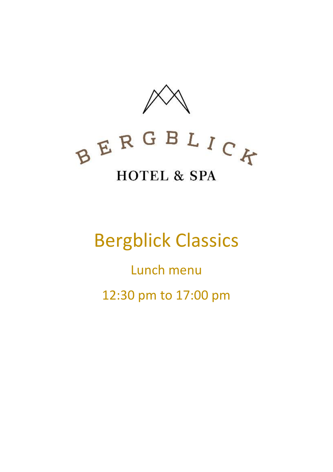



# Bergblick Classics

Lunch menu 12:30 pm to 17:00 pm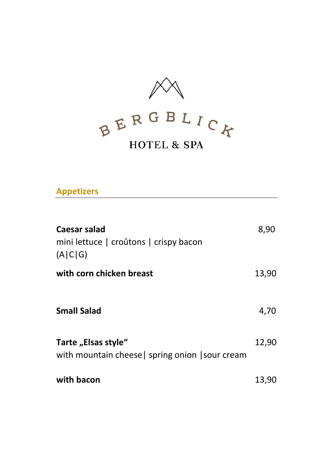

**Appetizers**

| Caesar salad<br>mini lettuce   croûtons   crispy bacon<br>(A C G)       | 8,90  |
|-------------------------------------------------------------------------|-------|
| with corn chicken breast                                                | 13,90 |
| <b>Small Salad</b>                                                      | 4,70  |
| Tarte "Elsas style"<br>with mountain cheese   spring onion   sour cream | 12,90 |
| with bacon                                                              | 13,90 |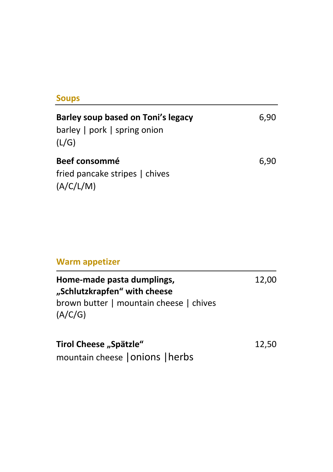#### **Soups**

| Barley soup based on Toni's legacy<br>$barley$   pork   spring onion<br>(L/G) | 6.90 |
|-------------------------------------------------------------------------------|------|
| Beef consommé<br>fried pancake stripes   chives<br>(A/C/L/M)                  | 6.90 |

### **Warm appetizer**

| Home-made pasta dumplings,<br>"Schlutzkrapfen" with cheese | 12,00 |
|------------------------------------------------------------|-------|
| brown butter   mountain cheese   chives<br>(A/C/G)         |       |

| Tirol Cheese "Spätzle"           | 12,50 |
|----------------------------------|-------|
| mountain cheese   Onions   herbs |       |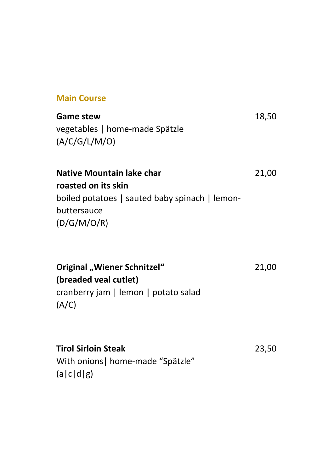#### **Main Course**

## **Game stew** 18,50 vegetables | home-made Spätzle (A/C/G/L/M/O) **Native Mountain lake char** 21,00 **roasted on its skin** boiled potatoes | sauted baby spinach | lemonbuttersauce (D/G/M/O/R)

**Original "Wiener Schnitzel"** 21,00 **(breaded veal cutlet)** cranberry jam | lemon | potato salad (A/C)

| <b>Tirol Sirloin Steak</b>        | 23,50 |
|-----------------------------------|-------|
| With onions   home-made "Spätzle" |       |
| (a c d g)                         |       |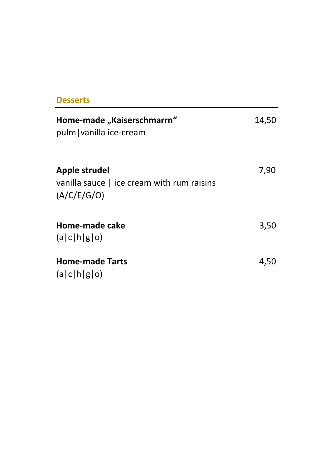#### **Desserts**

| Home-made "Kaiserschmarrn"<br>pulm vanilla ice-cream                       | 14,50 |
|----------------------------------------------------------------------------|-------|
| Apple strudel<br>vanilla sauce   ice cream with rum raisins<br>(A/C/E/G/O) | 7,90  |
| Home-made cake<br>(a c h g o)                                              | 3,50  |
| <b>Home-made Tarts</b><br>(a c h g o)                                      | 4,50  |